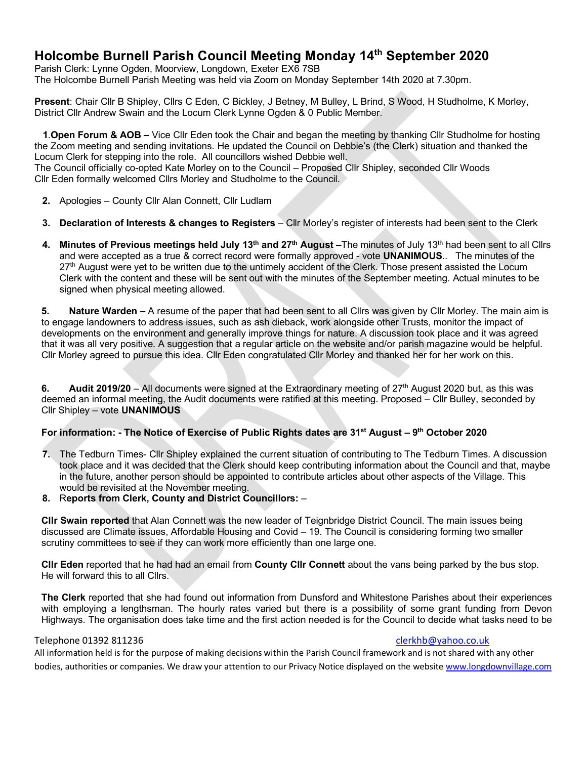## **Holcombe Burnell Parish Council Meeting Monday 14th September 2020**

Parish Clerk: Lynne Ogden, Moorview, Longdown, Exeter EX6 7SB The Holcombe Burnell Parish Meeting was held via Zoom on Monday September 14th 2020 at 7.30pm.

**Present**: Chair Cllr B Shipley, Cllrs C Eden, C Bickley, J Betney, M Bulley, L Brind, S Wood, H Studholme, K Morley, District Cllr Andrew Swain and the Locum Clerk Lynne Ogden & 0 Public Member.

 **1**.**Open Forum & AOB –** Vice Cllr Eden took the Chair and began the meeting by thanking Cllr Studholme for hosting the Zoom meeting and sending invitations. He updated the Council on Debbie's (the Clerk) situation and thanked the Locum Clerk for stepping into the role. All councillors wished Debbie well.

The Council officially co-opted Kate Morley on to the Council – Proposed Cllr Shipley, seconded Cllr Woods Cllr Eden formally welcomed Cllrs Morley and Studholme to the Council.

- **2.** Apologies County Cllr Alan Connett, Cllr Ludlam
- **3. Declaration of Interests & changes to Registers**  Cllr Morley's register of interests had been sent to the Clerk
- **4. Minutes of Previous meetings held July 13th and 27th August –**The minutes of July 13th had been sent to all Cllrs and were accepted as a true & correct record were formally approved - vote **UNANIMOUS**.. The minutes of the 27<sup>th</sup> August were yet to be written due to the untimely accident of the Clerk. Those present assisted the Locum Clerk with the content and these will be sent out with the minutes of the September meeting. Actual minutes to be signed when physical meeting allowed.

**5. Nature Warden –** A resume of the paper that had been sent to all Cllrs was given by Cllr Morley. The main aim is to engage landowners to address issues, such as ash dieback, work alongside other Trusts, monitor the impact of developments on the environment and generally improve things for nature. A discussion took place and it was agreed that it was all very positive. A suggestion that a regular article on the website and/or parish magazine would be helpful. Cllr Morley agreed to pursue this idea. Cllr Eden congratulated Cllr Morley and thanked her for her work on this.

**6. Audit 2019/20** – All documents were signed at the Extraordinary meeting of 27th August 2020 but, as this was deemed an informal meeting, the Audit documents were ratified at this meeting. Proposed – Cllr Bulley, seconded by Cllr Shipley – vote **UNANIMOUS**

## **For information: - The Notice of Exercise of Public Rights dates are 31st August – 9th October 2020**

- **7.** The Tedburn Times- Cllr Shipley explained the current situation of contributing to The Tedburn Times. A discussion took place and it was decided that the Clerk should keep contributing information about the Council and that, maybe in the future, another person should be appointed to contribute articles about other aspects of the Village. This would be revisited at the November meeting.
- **8.** R**eports from Clerk, County and District Councillors:** –

**Cllr Swain reported** that Alan Connett was the new leader of Teignbridge District Council. The main issues being discussed are Climate issues, Affordable Housing and Covid – 19. The Council is considering forming two smaller scrutiny committees to see if they can work more efficiently than one large one.

**Cllr Eden** reported that he had had an email from **County Cllr Connett** about the vans being parked by the bus stop. He will forward this to all Cllrs.

**The Clerk** reported that she had found out information from Dunsford and Whitestone Parishes about their experiences with employing a lengthsman. The hourly rates varied but there is a possibility of some grant funding from Devon Highways. The organisation does take time and the first action needed is for the Council to decide what tasks need to be

## Telephone 01392 811236 clerkhb@yahoo.co.uk

All information held is for the purpose of making decisions within the Parish Council framework and is not shared with any other bodies, authorities or companies. We draw your attention to our Privacy Notice displayed on the website www.longdownvillage.com